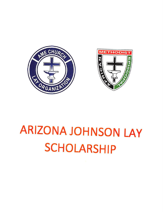



# **ARIZONA JOHNSON LAY SCHOLARSHIP**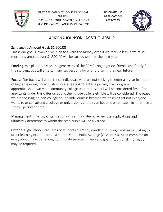

FIRST AFRICAN METHODIST EPISCOPAL SCHOLARSHIP CHURCH **APPLICATION** 1522 14<sup>TH</sup> AVENUE, SEATTLE, WA 98122 2022-2023 REV. DR. CAREY G. ANDERSON, PASTOR



## ARIZONA JOHNSON LAY SCHOLARSHIP

## Scholarship Amount Goal: \$1,500.00

This is our goal. However, we plan to award the money even if we receive less. If we raise more, any amount over \$1,500.00 will be carried over for the next year.

Funding: We plan to rely on the generosity of the FAME congregation, friends and family for the start-up, but will entertain any suggestions for a fundraiser in the near future.

Focus: Our focus will be on those individuals who are not seeking to enter a 4-year institution of higher learning. Individuals who are seeking to enter a journeyman program, apprenticeship, two-year community college or a trade school will be considered first. If no applicants under this criterion apply, then those college eligible will be considered. The reason we are focusing on non-college bound individuals is because we believe that not everyone wants to or can attend a college or university, but they can become employable in a trade in a shorter period of time.

**Management:** The Lay Organization will set the criteria, review the applications and ultimately determine to whom the scholarship will be awarded.

Criteria: High School Graduates or students currently enrolled in college and matriculating to other learning experiences. Minimum Grade Point Average (GPA) of 2.0. Must complete an essay about life experiences, community services (if any) and goals. Additional information may be required.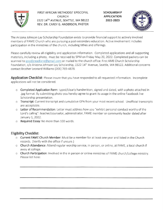

FIRST AFRICAN METHODIST EPISCOPAL SCHOLARSHIP CHURCH APPLICATION 1522 14<sup>TH</sup> AVENUE, SEATTLE, WA 98122 **2022-2023** REV. DR. CAREY G. ANDERSON, PASTOR



The Arizona Johnson Lay Scholarship Foundation exists to provide financial support to actively involved members of FAME Church who are pursuing a post-secondary education. Active involvement includes participation in the ministries of the church, including tithes and offerings.

Please carefully review all eligibility and application information. Completed applications and all supporting materials, including a photo, must be received by 5PM on Friday May 20, 2022. Completed packets can be scanned to goodbreadlane@gmail.com or mailed to the church office: First AME Church Scholarship Foundation, c/o Arizona Johnson Lay Scholarship, 1522 14<sup>th</sup> Avenue, Seattle, WA 98122. Additional concerns contact Brother Leonard Williams (206} 769-4878.

**Application Checklist**: Please insure that you have responded to all requested information. Incomplete applications will not be considered.

- $\circ$  Completed Application Form: typed/clearly handwritten, signed and dated, with a photo attached in .jpg format. By submitting photo you hereby agree to grant its usage in the online Facebook live Scholarship presentation.
- o Transcript: Current transcript and cumulative GPA from your most recent school. Unofficial transcripts are acceptable.
- o Letter of Recommendation: Letter must address how you "exhibit personal conduct worthy of the Lord's calling": teacher/counselor, administrator, FAME member or community leader dated after January 1, 2022,
- o Required Essay: No more than 100 words.

#### Eligibility Checklist:

- $\circ$  Current FAME Church Member: Must be a member for at least one year and listed in the Church records. (Verify with the office if unsure.)
- o Church Attendance; Attend regular worship service, in person, or online, at FAME, a local church if away at college.
- o Church Participation: Involved in the in person or online ministries of FAME church/college ministry. Please list here: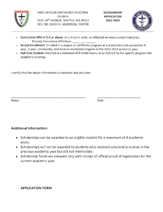

FIRST AFRICAN METHODIST EPISCOPAL CHURCH 1522 14<sup>TH</sup> AVENUE, SEATTLE, WA 98122 REV. DR. CAREY G. ANDERSON, PASTOR

SCHOLARSHIP APPLICATION 2022-2023



- $\circ$  Cumulative GPA of 2.0 or above, on a 4-point scale, as reflected on most current transcript. Provide Cumulative GPA here
- o School Enrollment: Enrolled in a degree or certificate program at a state/nationally accredited 4 year, 2-year, community, technical or vocational program in the 2022-2023 academic year,
- o Full-time Student: Enrolled in a minimum of 6 credit hours, or as defined by the specific program the student is entering.

I certify that the above information is complete and accurate:

Name Date

#### Additional Information:

- Scholarships can be awarded to an eligible student for a maximum of 4 academic years.
- Scholarships will not be awarded to students who received scholarship monies in the previous academic year but did not matriculate.
- Scholarship funds are released only with receipt of official proof of registration for the current academic year.

#### APPLICATION FORM